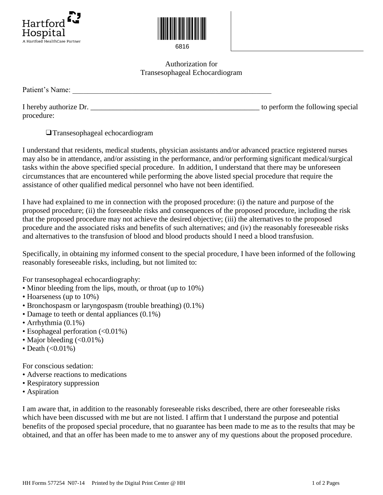



6816

Authorization for Transesophageal Echocardiogram

| Patient's Name: |  |  |
|-----------------|--|--|
|                 |  |  |

I hereby authorize Dr. \_\_\_\_\_\_\_\_\_\_\_\_\_\_\_\_\_\_\_\_\_\_\_\_\_\_\_\_\_\_\_\_\_\_\_\_\_\_\_\_\_\_\_\_\_ to perform the following special procedure:

❑Transesophageal echocardiogram

I understand that residents, medical students, physician assistants and/or advanced practice registered nurses may also be in attendance, and/or assisting in the performance, and/or performing significant medical/surgical tasks within the above specified special procedure. In addition, I understand that there may be unforeseen circumstances that are encountered while performing the above listed special procedure that require the assistance of other qualified medical personnel who have not been identified.

I have had explained to me in connection with the proposed procedure: (i) the nature and purpose of the proposed procedure; (ii) the foreseeable risks and consequences of the proposed procedure, including the risk that the proposed procedure may not achieve the desired objective; (iii) the alternatives to the proposed procedure and the associated risks and benefits of such alternatives; and (iv) the reasonably foreseeable risks and alternatives to the transfusion of blood and blood products should I need a blood transfusion.

Specifically, in obtaining my informed consent to the special procedure, I have been informed of the following reasonably foreseeable risks, including, but not limited to:

For transesophageal echocardiography:

- Minor bleeding from the lips, mouth, or throat (up to 10%)
- Hoarseness (up to 10%)
- Bronchospasm or laryngospasm (trouble breathing) (0.1%)
- Damage to teeth or dental appliances (0.1%)
- Arrhythmia (0.1%)
- Esophageal perforation (<0.01%)
- Major bleeding (<0.01%)
- Death  $(<0.01\%)$

For conscious sedation:

- Adverse reactions to medications
- Respiratory suppression
- Aspiration

I am aware that, in addition to the reasonably foreseeable risks described, there are other foreseeable risks which have been discussed with me but are not listed. I affirm that I understand the purpose and potential benefits of the proposed special procedure, that no guarantee has been made to me as to the results that may be obtained, and that an offer has been made to me to answer any of my questions about the proposed procedure.